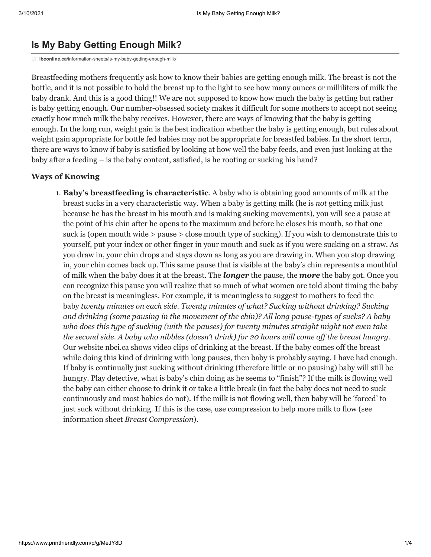### **Is My Baby Getting Enough Milk?**

**ibconline.ca**[/information-sheets/is-my-baby-getting-enough-milk/](https://ibconline.ca/information-sheets/is-my-baby-getting-enough-milk/)

Breastfeeding mothers frequently ask how to know their babies are getting enough milk. The breast is not the bottle, and it is not possible to hold the breast up to the light to see how many ounces or milliliters of milk the baby drank. And this is a good thing!! We are not supposed to know how much the baby is getting but rather is baby getting enough. Our number-obsessed society makes it difficult for some mothers to accept not seeing exactly how much milk the baby receives. However, there are ways of knowing that the baby is getting enough. In the long run, weight gain is the best indication whether the baby is getting enough, but rules about weight gain appropriate for bottle fed babies may not be appropriate for breastfed babies. In the short term, there are ways to know if baby is satisfied by looking at how well the baby feeds, and even just looking at the baby after a feeding – is the baby content, satisfied, is he rooting or sucking his hand?

#### **Ways of Knowing**

1. **Baby's breastfeeding is characteristic**. A baby who is obtaining good amounts of milk at the breast sucks in a very characteristic way. When a baby is getting milk (he is *not* getting milk just because he has the breast in his mouth and is making sucking movements), you will see a pause at the point of his chin after he opens to the maximum and before he closes his mouth, so that one suck is (open mouth wide > pause > close mouth type of sucking). If you wish to demonstrate this to yourself, put your index or other finger in your mouth and suck as if you were sucking on a straw. As you draw in, your chin drops and stays down as long as you are drawing in. When you stop drawing in, your chin comes back up. This same pause that is visible at the baby's chin represents a mouthful of milk when the baby does it at the breast. The *longer* the pause, the *more* the baby got. Once you can recognize this pause you will realize that so much of what women are told about timing the baby on the breast is meaningless. For example, it is meaningless to suggest to mothers to feed the baby *twenty minutes on each side. Twenty minutes of what? Sucking without drinking? Sucking and drinking (some pausing in the movement of the chin)? All long pause-types of sucks? A baby who does this type of sucking (with the pauses) for twenty minutes straight might not even take the second side. A baby who nibbles (doesn't drink) for 20 hours will come off the breast hungry*. Our website nbci.ca shows video clips of drinking at the breast. If the baby comes off the breast while doing this kind of drinking with long pauses, then baby is probably saying, I have had enough. If baby is continually just sucking without drinking (therefore little or no pausing) baby will still be hungry. Play detective, what is baby's chin doing as he seems to "finish"? If the milk is flowing well the baby can either choose to drink it or take a little break (in fact the baby does not need to suck continuously and most babies do not). If the milk is not flowing well, then baby will be 'forced' to just suck without drinking. If this is the case, use compression to help more milk to flow (see information sheet *Breast Compression*).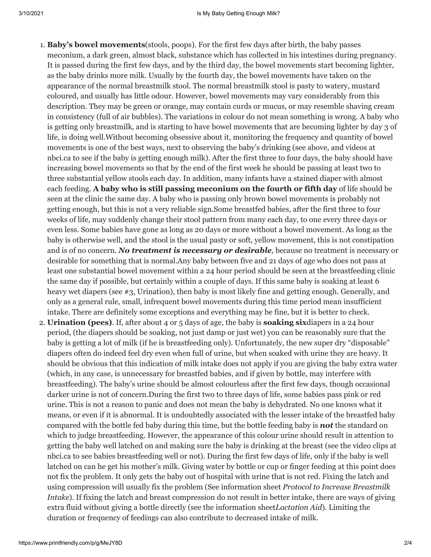- 1. **Baby's bowel movements**(stools, poops). For the first few days after birth, the baby passes meconium, a dark green, almost black, substance which has collected in his intestines during pregnancy. It is passed during the first few days, and by the third day, the bowel movements start becoming lighter, as the baby drinks more milk. Usually by the fourth day, the bowel movements have taken on the appearance of the normal breastmilk stool. The normal breastmilk stool is pasty to watery, mustard coloured, and usually has little odour. However, bowel movements may vary considerably from this description. They may be green or orange, may contain curds or mucus, or may resemble shaving cream in consistency (full of air bubbles). The variations in colour do not mean something is wrong. A baby who is getting only breastmilk, and is starting to have bowel movements that are becoming lighter by day 3 of life, is doing well.Without becoming obsessive about it, monitoring the frequency and quantity of bowel movements is one of the best ways, next to observing the baby's drinking (see above, and videos at nbci.ca to see if the baby is getting enough milk). After the first three to four days, the baby should have increasing bowel movements so that by the end of the first week he should be passing at least two to three substantial yellow stools each day. In addition, many infants have a stained diaper with almost each feeding. **A baby who is still passing meconium on the fourth or fifth day** of life should be seen at the clinic the same day. A baby who is passing only brown bowel movements is probably not getting enough, but this is not a very reliable sign.Some breastfed babies, after the first three to four weeks of life, may suddenly change their stool pattern from many each day, to one every three days or even less. Some babies have gone as long as 20 days or more without a bowel movement. As long as the baby is otherwise well, and the stool is the usual pasty or soft, yellow movement, this is not constipation and is of no concern. *No treatment is necessary or desirable*, because no treatment is necessary or desirable for something that is normal.Any baby between five and 21 days of age who does not pass at least one substantial bowel movement within a 24 hour period should be seen at the breastfeeding clinic the same day if possible, but certainly within a couple of days. If this same baby is soaking at least 6 heavy wet diapers (see #3, Urination), then baby is most likely fine and getting enough. Generally, and only as a general rule, small, infrequent bowel movements during this time period mean insufficient intake. There are definitely some exceptions and everything may be fine, but it is better to check.
- 2. **Urination (pees)**. If, after about 4 or 5 days of age, the baby is **soaking six**diapers in a 24 hour period, (the diapers should be soaking, not just damp or just wet) you can be reasonably sure that the baby is getting a lot of milk (if he is breastfeeding only). Unfortunately, the new super dry "disposable" diapers often do indeed feel dry even when full of urine, but when soaked with urine they are heavy. It should be obvious that this indication of milk intake does not apply if you are giving the baby extra water (which, in any case, is unnecessary for breastfed babies, and if given by bottle, may interfere with breastfeeding). The baby's urine should be almost colourless after the first few days, though occasional darker urine is not of concern.During the first two to three days of life, some babies pass pink or red urine. This is not a reason to panic and does not mean the baby is dehydrated. No one knows what it means, or even if it is abnormal. It is undoubtedly associated with the lesser intake of the breastfed baby compared with the bottle fed baby during this time, but the bottle feeding baby is *not* the standard on which to judge breastfeeding. However, the appearance of this colour urine should result in attention to getting the baby well latched on and making sure the baby is drinking at the breast (see the video clips at nbci.ca to see babies breastfeeding well or not). During the first few days of life, only if the baby is well latched on can he get his mother's milk. Giving water by bottle or cup or finger feeding at this point does not fix the problem. It only gets the baby out of hospital with urine that is not red. Fixing the latch and using compression will usually fix the problem (See information sheet *Protocol to Increase Breastmilk Intake*). If fixing the latch and breast compression do not result in better intake, there are ways of giving extra fluid without giving a bottle directly (see the information sheet*Lactation Aid*). Limiting the duration or frequency of feedings can also contribute to decreased intake of milk.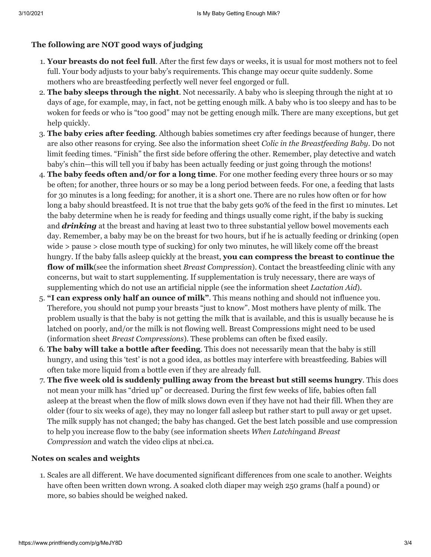# **The following are NOT good ways of judging**

- 1. **Your breasts do not feel full**. After the first few days or weeks, it is usual for most mothers not to feel full. Your body adjusts to your baby's requirements. This change may occur quite suddenly. Some mothers who are breastfeeding perfectly well never feel engorged or full.
- 2. **The baby sleeps through the night**. Not necessarily. A baby who is sleeping through the night at 10 days of age, for example, may, in fact, not be getting enough milk. A baby who is too sleepy and has to be woken for feeds or who is "too good" may not be getting enough milk. There are many exceptions, but get help quickly.
- 3. **The baby cries after feeding**. Although babies sometimes cry after feedings because of hunger, there are also other reasons for crying. See also the information sheet *Colic in the Breastfeeding Baby*. Do not limit feeding times. "Finish" the first side before offering the other. Remember, play detective and watch baby's chin—this will tell you if baby has been actually feeding or just going through the motions!
- 4. **The baby feeds often and/or for a long time**. For one mother feeding every three hours or so may be often; for another, three hours or so may be a long period between feeds. For one, a feeding that lasts for 30 minutes is a long feeding; for another, it is a short one. There are no rules how often or for how long a baby should breastfeed. It is not true that the baby gets 90% of the feed in the first 10 minutes. Let the baby determine when he is ready for feeding and things usually come right, if the baby is sucking and *drinking* at the breast and having at least two to three substantial yellow bowel movements each day. Remember, a baby may be on the breast for two hours, but if he is actually feeding or drinking (open wide > pause > close mouth type of sucking) for only two minutes, he will likely come off the breast hungry. If the baby falls asleep quickly at the breast, **you can compress the breast to continue the flow of milk**(see the information sheet *Breast Compression*). Contact the breastfeeding clinic with any concerns, but wait to start supplementing. If supplementation is truly necessary, there are ways of supplementing which do not use an artificial nipple (see the information sheet *Lactation Aid*).
- 5. **"I can express only half an ounce of milk"**. This means nothing and should not influence you. Therefore, you should not pump your breasts "just to know". Most mothers have plenty of milk. The problem usually is that the baby is not getting the milk that is available, and this is usually because he is latched on poorly, and/or the milk is not flowing well. Breast Compressions might need to be used (information sheet *Breast Compressions*). These problems can often be fixed easily.
- 6. **The baby will take a bottle after feeding**. This does not necessarily mean that the baby is still hungry, and using this 'test' is not a good idea, as bottles may interfere with breastfeeding. Babies will often take more liquid from a bottle even if they are already full.
- 7. **The five week old is suddenly pulling away from the breast but still seems hungry**. This does not mean your milk has "dried up" or decreased. During the first few weeks of life, babies often fall asleep at the breast when the flow of milk slows down even if they have not had their fill. When they are older (four to six weeks of age), they may no longer fall asleep but rather start to pull away or get upset. The milk supply has not changed; the baby has changed. Get the best latch possible and use compression to help you increase flow to the baby (see information sheets *When Latching*and *Breast Compression* and watch the video clips at nbci.ca.

# **Notes on scales and weights**

1. Scales are all different. We have documented significant differences from one scale to another. Weights have often been written down wrong. A soaked cloth diaper may weigh 250 grams (half a pound) or more, so babies should be weighed naked.